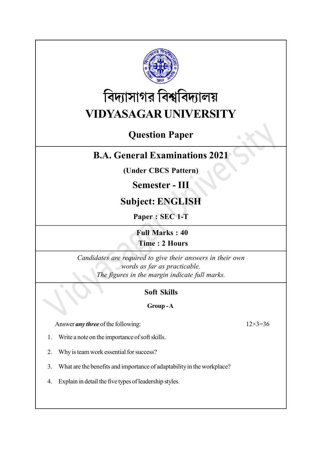

# বিদ্যাসাগর বিশ্ববিদ্যালয় VIDYASAGAR UNIVERSITY

# Question Paper

### B.A. General Examinations 2021

(Under CBCS Pattern)

### Semester - III

# Subject: ENGLISH

Paper : SEC 1-T

Full Marks : 40 Time : 2 Hours

Candidates are required to give their answers in their own words as far as practicable. The figures in the margin indicate full marks.

### Soft Skills

#### Group - A

Answer *any three* of the following:  $12 \times 3 = 36$ 

- 1. Write a note on the importance of soft skills.
- 2. Why is team work essential for success?
- 3. What are the benefits and importance of adaptability in the workplace?
- 4. Explain in detail the five types of leadership styles.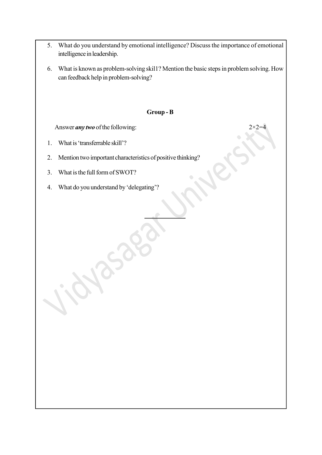- 5. What do you understand by emotional intelligence? Discuss the importance of emotional intelligence in leadership.
- 6. What is known as problem-solving skil1? Mention the basic steps in problem solving. How can feedback help in problem-solving?

#### Group - B

Answer *any two* of the following:  $2 \times 2 =$ 

1. What is 'transferrable skill'?

2. Mention two important characteristics of positive thinking?

3. What is the full form of SWOT?

4. What do you understand by 'delegating'?